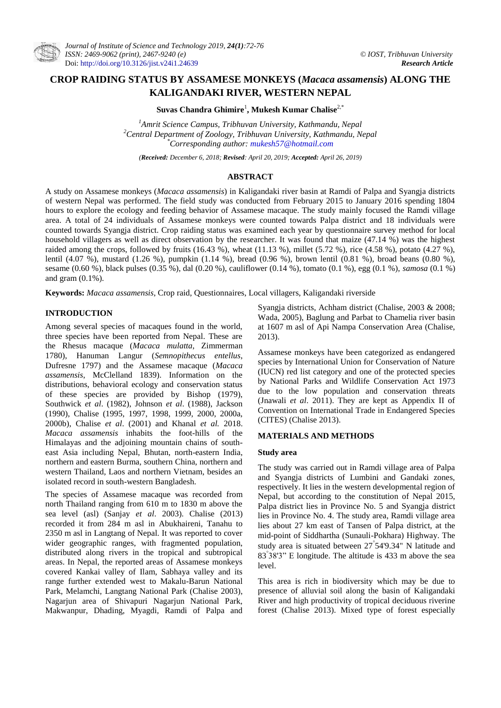# **CROP RAIDING STATUS BY ASSAMESE MONKEYS (***Macaca assamensis***) ALONG THE KALIGANDAKI RIVER, WESTERN NEPAL**

**Suvas Chandra Ghimire**<sup>1</sup> **, Mukesh Kumar Chalise**2,\*

*<sup>1</sup>Amrit Science Campus, Tribhuvan University, Kathmandu, Nepal <sup>2</sup>Central Department of Zoology, Tribhuvan University, Kathmandu, Nepal \*Corresponding author[: mukesh57@hotmail.com](mailto:suvasghimire@yahoo.com)*

*(Received: December 6, 2018; Revised: April 20, 2019; Accepted: April 26, 2019)*

### **ABSTRACT**

A study on Assamese monkeys (*Macaca assamensis*) in Kaligandaki river basin at Ramdi of Palpa and Syangja districts of western Nepal was performed. The field study was conducted from February 2015 to January 2016 spending 1804 hours to explore the ecology and feeding behavior of Assamese macaque. The study mainly focused the Ramdi village area. A total of 24 individuals of Assamese monkeys were counted towards Palpa district and 18 individuals were counted towards Syangja district. Crop raiding status was examined each year by questionnaire survey method for local household villagers as well as direct observation by the researcher. It was found that maize (47.14 %) was the highest raided among the crops, followed by fruits  $(16.43 \%)$ , wheat  $(11.13 \%)$ , millet  $(5.72 \%)$ , rice  $(4.58 \%)$ , potato  $(4.27 \%)$ , lentil (4.07 %), mustard (1.26 %), pumpkin (1.14 %), bread (0.96 %), brown lentil (0.81 %), broad beans (0.80 %), sesame (0.60 %), black pulses (0.35 %), dal (0.20 %), cauliflower (0.14 %), tomato (0.1 %), egg (0.1 %), *samosa* (0.1 %) and gram  $(0.1\%)$ .

**Keywords:** *Macaca assamensis*, Crop raid, Questionnaires, Local villagers, Kaligandaki riverside

## **INTRODUCTION**

Among several species of macaques found in the world, three species have been reported from Nepal. These are the Rhesus macaque (*Macaca mulatta*, Zimmerman 1780), Hanuman Langur (*Semnopithecus entellus*, Dufresne 1797) and the Assamese macaque (*Macaca assamensis*, McClelland 1839). Information on the distributions, behavioral ecology and conservation status of these species are provided by Bishop (1979), Southwick *et al*. (1982), Johnson *et al*. (1988), Jackson (1990), Chalise (1995, 1997, 1998, 1999, 2000, 2000a, 2000b), Chalise *et al*. (2001) and Khanal *et al.* 2018. *Macaca assamensis* inhabits the foot-hills of the Himalayas and the adjoining mountain chains of southeast Asia including Nepal, Bhutan, north-eastern India, northern and eastern Burma, southern China, northern and western Thailand, Laos and northern Vietnam, besides an isolated record in south-western Bangladesh.

The species of Assamese macaque was recorded from north Thailand ranging from 610 m to 1830 m above the sea level (asl) (Sanjay *et al*. 2003). Chalise (2013) recorded it from 284 m asl in Abukhaireni, Tanahu to 2350 m asl in Langtang of Nepal. It was reported to cover wider geographic ranges, with fragmented population, distributed along rivers in the tropical and subtropical areas. In Nepal, the reported areas of Assamese monkeys covered Kankai valley of Ilam, Sabhaya valley and its range further extended west to Makalu-Barun National Park, Melamchi, Langtang National Park (Chalise 2003), Nagarjun area of Shivapuri Nagarjun National Park, Makwanpur, Dhading, Myagdi, Ramdi of Palpa and Syangja districts, Achham district (Chalise, 2003 & 2008; Wada, 2005), Baglung and Parbat to Chamelia river basin at 1607 m asl of Api Nampa Conservation Area (Chalise, 2013).

Assamese monkeys have been categorized as endangered species by International Union for Conservation of Nature (IUCN) red list category and one of the protected species by National Parks and Wildlife Conservation Act 1973 due to the low population and conservation threats (Jnawali *et al*. 2011). They are kept as Appendix II of Convention on International Trade in Endangered Species (CITES) (Chalise 2013).

### **MATERIALS AND METHODS**

#### **Study area**

The study was carried out in Ramdi village area of Palpa and Syangja districts of Lumbini and Gandaki zones, respectively. It lies in the western developmental region of Nepal, but according to the constitution of Nepal 2015, Palpa district lies in Province No. 5 and Syangja district lies in Province No. 4. The study area, Ramdi village area lies about 27 km east of Tansen of Palpa district, at the mid-point of Siddhartha (Sunauli-Pokhara) Highway. The study area is situated between 27 54'9.34" N latitude and 83 38'3" E longitude. The altitude is 433 m above the sea level.

This area is rich in biodiversity which may be due to presence of alluvial soil along the basin of Kaligandaki River and high productivity of tropical deciduous riverine forest (Chalise 2013). Mixed type of forest especially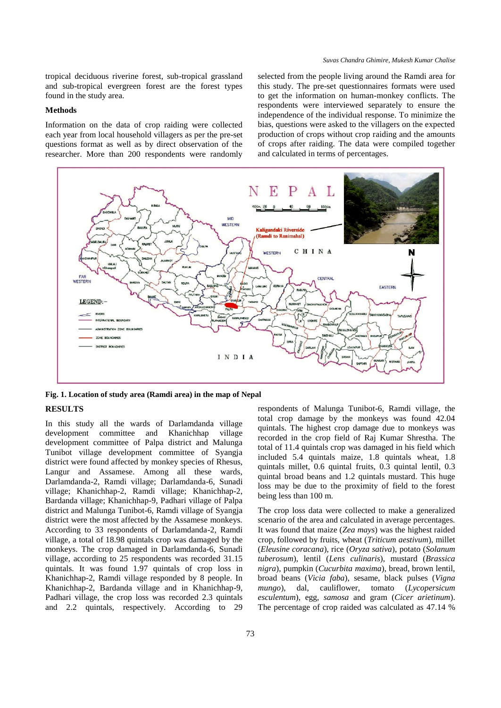tropical deciduous riverine forest, sub-tropical grassland and sub-tropical evergreen forest are the forest types found in the study area.

#### **Methods**

Information on the data of crop raiding were collected each year from local household villagers as per the pre-set questions format as well as by direct observation of the researcher. More than 200 respondents were randomly

selected from the people living around the Ramdi area for this study. The pre-set questionnaires formats were used to get the information on human-monkey conflicts. The respondents were interviewed separately to ensure the independence of the individual response. To minimize the bias, questions were asked to the villagers on the expected production of crops without crop raiding and the amounts of crops after raiding. The data were compiled together and calculated in terms of percentages.



**Fig. 1. Location of study area (Ramdi area) in the map of Nepal**

### **RESULTS**

In this study all the wards of Darlamdanda village development committee and Khanichhap village development committee of Palpa district and Malunga Tunibot village development committee of Syangja district were found affected by monkey species of Rhesus, Langur and Assamese. Among all these wards, Darlamdanda-2, Ramdi village; Darlamdanda-6, Sunadi village; Khanichhap-2, Ramdi village; Khanichhap-2, Bardanda village; Khanichhap-9, Padhari village of Palpa district and Malunga Tunibot-6, Ramdi village of Syangja district were the most affected by the Assamese monkeys. According to 33 respondents of Darlamdanda-2, Ramdi village, a total of 18.98 quintals crop was damaged by the monkeys. The crop damaged in Darlamdanda-6, Sunadi village, according to 25 respondents was recorded 31.15 quintals. It was found 1.97 quintals of crop loss in Khanichhap-2, Ramdi village responded by 8 people. In Khanichhap-2, Bardanda village and in Khanichhap-9, Padhari village, the crop loss was recorded 2.3 quintals and 2.2 quintals, respectively. According to 29

respondents of Malunga Tunibot-6, Ramdi village, the total crop damage by the monkeys was found 42.04 quintals. The highest crop damage due to monkeys was recorded in the crop field of Raj Kumar Shrestha. The total of 11.4 quintals crop was damaged in his field which included 5.4 quintals maize, 1.8 quintals wheat, 1.8 quintals millet, 0.6 quintal fruits, 0.3 quintal lentil, 0.3 quintal broad beans and 1.2 quintals mustard. This huge loss may be due to the proximity of field to the forest being less than 100 m.

The crop loss data were collected to make a generalized scenario of the area and calculated in average percentages. It was found that maize (*Zea mays*) was the highest raided crop, followed by fruits, wheat (*Triticum aestivum*), millet (*Eleusine coracana*), rice (*Oryza sativa*), potato (*Solanum tuberosum*), lentil (*Lens culinaris*), mustard (*Brassica nigra*), pumpkin (*Cucurbita maxima*), bread, brown lentil, broad beans (*Vicia faba*), sesame, black pulses (*Vigna mungo*), dal, cauliflower, tomato (*Lycopersicum esculentum*), egg, *samosa* and gram (*Cicer arietinum*). The percentage of crop raided was calculated as 47.14 %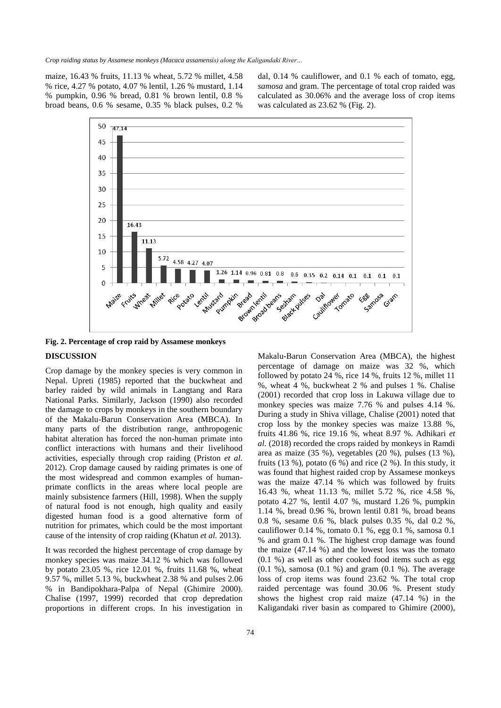maize, 16.43 % fruits, 11.13 % wheat, 5.72 % millet, 4.58 % rice, 4.27 % potato, 4.07 % lentil, 1.26 % mustard, 1.14 % pumpkin, 0.96 % bread, 0.81 % brown lentil, 0.8 % broad beans, 0.6 % sesame, 0.35 % black pulses, 0.2 %

dal, 0.14 % cauliflower, and 0.1 % each of tomato, egg, *samosa* and gram. The percentage of total crop raided was calculated as 30.06% and the average loss of crop items was calculated as 23.62 % (Fig. 2).



**Fig. 2. Percentage of crop raid by Assamese monkeys**

# **DISCUSSION**

Crop damage by the monkey species is very common in Nepal. Upreti (1985) reported that the buckwheat and barley raided by wild animals in Langtang and Rara National Parks. Similarly, Jackson (1990) also recorded the damage to crops by monkeys in the southern boundary of the Makalu-Barun Conservation Area (MBCA). In many parts of the distribution range, anthropogenic habitat alteration has forced the non-human primate into conflict interactions with humans and their livelihood activities, especially through crop raiding (Priston *et al.* 2012). Crop damage caused by raiding primates is one of the most widespread and common examples of humanprimate conflicts in the areas where local people are mainly subsistence farmers (Hill, 1998). When the supply of natural food is not enough, high quality and easily digested human food is a good alternative form of nutrition for primates, which could be the most important cause of the intensity of crop raiding (Khatun *et al.* 2013).

It was recorded the highest percentage of crop damage by monkey species was maize 34.12 % which was followed by potato 23.05 %, rice 12.01 %, fruits 11.68 %, wheat 9.57 %, millet 5.13 %, buckwheat 2.38 % and pulses 2.06 % in Bandipokhara-Palpa of Nepal (Ghimire 2000). Chalise (1997, 1999) recorded that crop depredation proportions in different crops. In his investigation in

Makalu-Barun Conservation Area (MBCA), the highest percentage of damage on maize was 32 %, which followed by potato 24 %, rice 14 %, fruits 12 %, millet 11 %, wheat 4 %, buckwheat 2 % and pulses 1 %. Chalise (2001) recorded that crop loss in Lakuwa village due to monkey species was maize 7.76 % and pulses 4.14 %. During a study in Shiva village, Chalise (2001) noted that crop loss by the monkey species was maize 13.88 %, fruits 41.86 %, rice 19.16 %, wheat 8.97 %. Adhikari *et al.* (2018) recorded the crops raided by monkeys in Ramdi area as maize (35 %), vegetables (20 %), pulses (13 %), fruits  $(13 \%)$ , potato  $(6 \%)$  and rice  $(2 \%)$ . In this study, it was found that highest raided crop by Assamese monkeys was the maize 47.14 % which was followed by fruits 16.43 %, wheat 11.13 %, millet 5.72 %, rice 4.58 %, potato 4.27 %, lentil 4.07 %, mustard 1.26 %, pumpkin 1.14 %, bread 0.96 %, brown lentil 0.81 %, broad beans 0.8 %, sesame 0.6 %, black pulses 0.35 %, dal 0.2 %, cauliflower 0.14 %, tomato 0.1 %, egg 0.1 %, samosa 0.1 % and gram 0.1 %. The highest crop damage was found the maize (47.14 %) and the lowest loss was the tomato (0.1 %) as well as other cooked food items such as egg  $(0.1 \%)$ , samosa  $(0.1 \%)$  and gram  $(0.1 \%)$ . The average loss of crop items was found 23.62 %. The total crop raided percentage was found 30.06 %. Present study shows the highest crop raid maize (47.14 %) in the Kaligandaki river basin as compared to Ghimire (2000),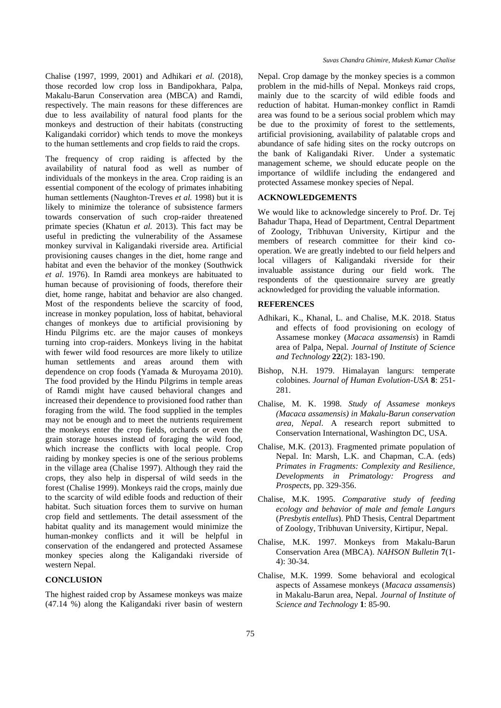Chalise (1997, 1999, 2001) and Adhikari *et al.* (2018), those recorded low crop loss in Bandipokhara, Palpa, Makalu-Barun Conservation area (MBCA) and Ramdi, respectively. The main reasons for these differences are due to less availability of natural food plants for the monkeys and destruction of their habitats (constructing Kaligandaki corridor) which tends to move the monkeys to the human settlements and crop fields to raid the crops.

The frequency of crop raiding is affected by the availability of natural food as well as number of individuals of the monkeys in the area. Crop raiding is an essential component of the ecology of primates inhabiting human settlements (Naughton-Treves *et al.* 1998) but it is likely to minimize the tolerance of subsistence farmers towards conservation of such crop-raider threatened primate species (Khatun *et al.* 2013). This fact may be useful in predicting the vulnerability of the Assamese monkey survival in Kaligandaki riverside area. Artificial provisioning causes changes in the diet, home range and habitat and even the behavior of the monkey (Southwick *et al.* 1976). In Ramdi area monkeys are habituated to human because of provisioning of foods, therefore their diet, home range, habitat and behavior are also changed. Most of the respondents believe the scarcity of food, increase in monkey population, loss of habitat, behavioral changes of monkeys due to artificial provisioning by Hindu Pilgrims etc. are the major causes of monkeys turning into crop-raiders. Monkeys living in the habitat with fewer wild food resources are more likely to utilize human settlements and areas around them with dependence on crop foods (Yamada & Muroyama 2010). The food provided by the Hindu Pilgrims in temple areas of Ramdi might have caused behavioral changes and increased their dependence to provisioned food rather than foraging from the wild. The food supplied in the temples may not be enough and to meet the nutrients requirement the monkeys enter the crop fields, orchards or even the grain storage houses instead of foraging the wild food, which increase the conflicts with local people. Crop raiding by monkey species is one of the serious problems in the village area (Chalise 1997). Although they raid the crops, they also help in dispersal of wild seeds in the forest (Chalise 1999). Monkeys raid the crops, mainly due to the scarcity of wild edible foods and reduction of their habitat. Such situation forces them to survive on human crop field and settlements. The detail assessment of the habitat quality and its management would minimize the human-monkey conflicts and it will be helpful in conservation of the endangered and protected Assamese monkey species along the Kaligandaki riverside of western Nepal.

# **CONCLUSION**

The highest raided crop by Assamese monkeys was maize (47.14 %) along the Kaligandaki river basin of western Nepal. Crop damage by the monkey species is a common problem in the mid-hills of Nepal. Monkeys raid crops, mainly due to the scarcity of wild edible foods and reduction of habitat. Human-monkey conflict in Ramdi area was found to be a serious social problem which may be due to the proximity of forest to the settlements, artificial provisioning, availability of palatable crops and abundance of safe hiding sites on the rocky outcrops on the bank of Kaligandaki River. Under a systematic management scheme, we should educate people on the importance of wildlife including the endangered and protected Assamese monkey species of Nepal.

### **ACKNOWLEDGEMENTS**

We would like to acknowledge sincerely to Prof. Dr. Tej Bahadur Thapa, Head of Department, Central Department of Zoology, Tribhuvan University, Kirtipur and the members of research committee for their kind cooperation. We are greatly indebted to our field helpers and local villagers of Kaligandaki riverside for their invaluable assistance during our field work. The respondents of the questionnaire survey are greatly acknowledged for providing the valuable information.

### **REFERENCES**

- Adhikari, K., Khanal, L. and Chalise, M.K. 2018. Status and effects of food provisioning on ecology of Assamese monkey (*Macaca assamensis*) in Ramdi area of Palpa, Nepal. *Journal of Institute of Science and Technology* **22**(2): 183-190.
- Bishop, N.H. 1979. Himalayan langurs: temperate colobines. *Journal of Human Evolution-USA* **8**: 251- 281.
- Chalise, M. K. 1998. *Study of Assamese monkeys (Macaca assamensis) in Makalu-Barun conservation area, Nepal*. A research report submitted to Conservation International, Washington DC, USA.
- Chalise, M.K. (2013). Fragmented primate population of Nepal. In: Marsh, L.K. and Chapman, C.A. (eds) *Primates in Fragments: Complexity and Resilience, Developments in Primatology: Progress and Prospects*, pp. 329-356.
- Chalise, M.K. 1995. *Comparative study of feeding ecology and behavior of male and female Langurs* (*Presbytis entellus*). PhD Thesis, Central Department of Zoology, Tribhuvan University, Kirtipur, Nepal.
- Chalise, M.K. 1997. Monkeys from Makalu-Barun Conservation Area (MBCA). *NAHSON Bulletin* **7**(1- 4): 30-34.
- Chalise, M.K. 1999. Some behavioral and ecological aspects of Assamese monkeys (*Macaca assamensis*) in Makalu-Barun area, Nepal. *Journal of Institute of Science and Technology* **1**: 85-90.